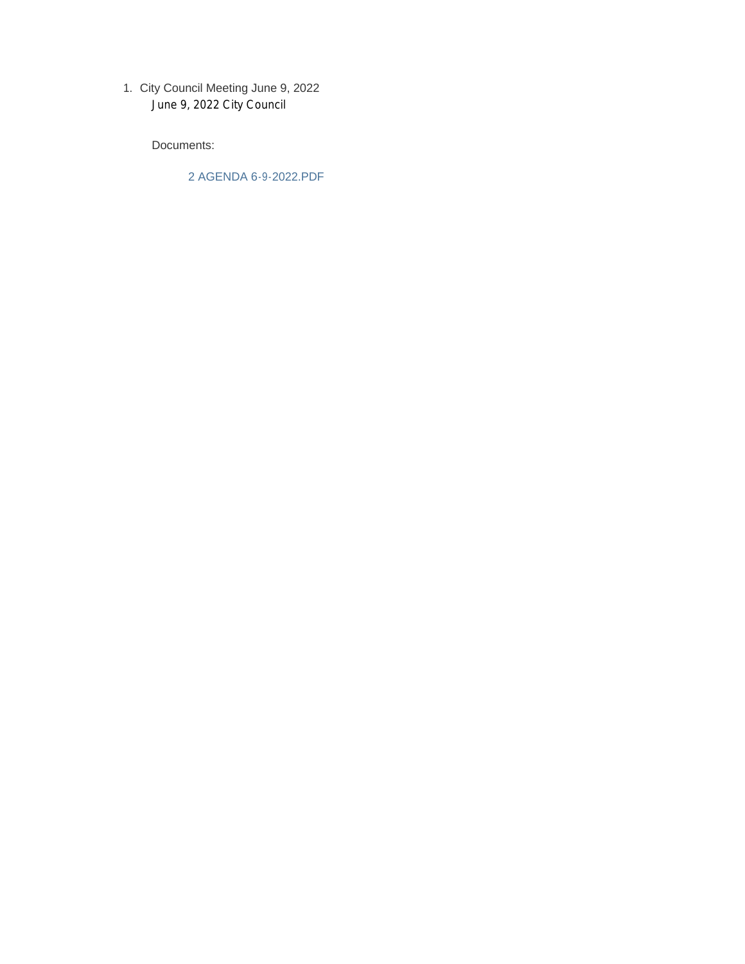City Council Meeting June 9, 2022 1. June 9, 2022 City Council

Documents:

2 AGENDA 6-9-2022.PDF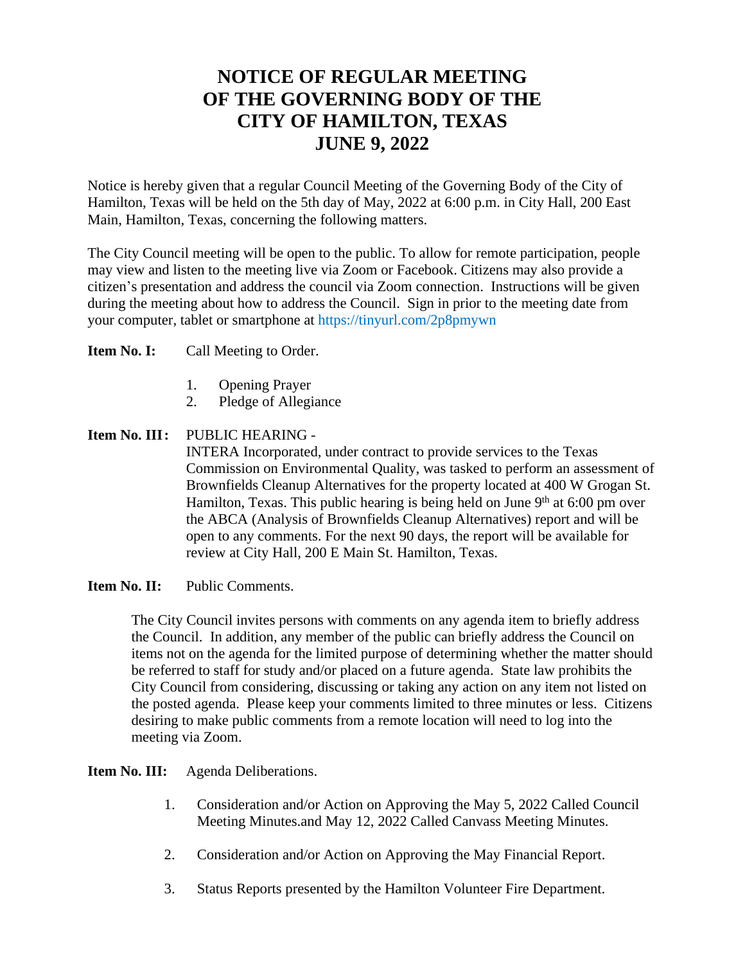## **NOTICE OF REGULAR MEETING OF THE GOVERNING BODY OF THE CITY OF HAMILTON, TEXAS JUNE 9, 2022**

Notice is hereby given that a regular Council Meeting of the Governing Body of the City of Hamilton, Texas will be held on the 5th day of May, 2022 at 6:00 p.m. in City Hall, 200 East Main, Hamilton, Texas, concerning the following matters.

The City Council meeting will be open to the public. To allow for remote participation, people may view and listen to the meeting live via Zoom or Facebook. Citizens may also provide a citizen's presentation and address the council via Zoom connection. Instructions will be given during the meeting about how to address the Council. Sign in prior to the meeting date from your computer, tablet or smartphone at https://tinyurl.com/2p8pmywn

**Item No. I:** Call Meeting to Order.

- 1. Opening Prayer
- 2. Pledge of Allegiance

## **Item No. III:** PUBLIC HEARING -

INTERA Incorporated, under contract to provide services to the Texas Commission on Environmental Quality, was tasked to perform an assessment of Brownfields Cleanup Alternatives for the property located at 400 W Grogan St. Hamilton, Texas. This public hearing is being held on June  $9<sup>th</sup>$  at 6:00 pm over the ABCA (Analysis of Brownfields Cleanup Alternatives) report and will be open to any comments. For the next 90 days, the report will be available for review at City Hall, 200 E Main St. Hamilton, Texas.

**Item No. II:** Public Comments.

The City Council invites persons with comments on any agenda item to briefly address the Council. In addition, any member of the public can briefly address the Council on items not on the agenda for the limited purpose of determining whether the matter should be referred to staff for study and/or placed on a future agenda. State law prohibits the City Council from considering, discussing or taking any action on any item not listed on the posted agenda. Please keep your comments limited to three minutes or less. Citizens desiring to make public comments from a remote location will need to log into the meeting via Zoom.

**Item No. III:** Agenda Deliberations.

- 1. Consideration and/or Action on Approving the May 5, 2022 Called Council Meeting Minutes.and May 12, 2022 Called Canvass Meeting Minutes.
- 2. Consideration and/or Action on Approving the May Financial Report.
- 3. Status Reports presented by the Hamilton Volunteer Fire Department.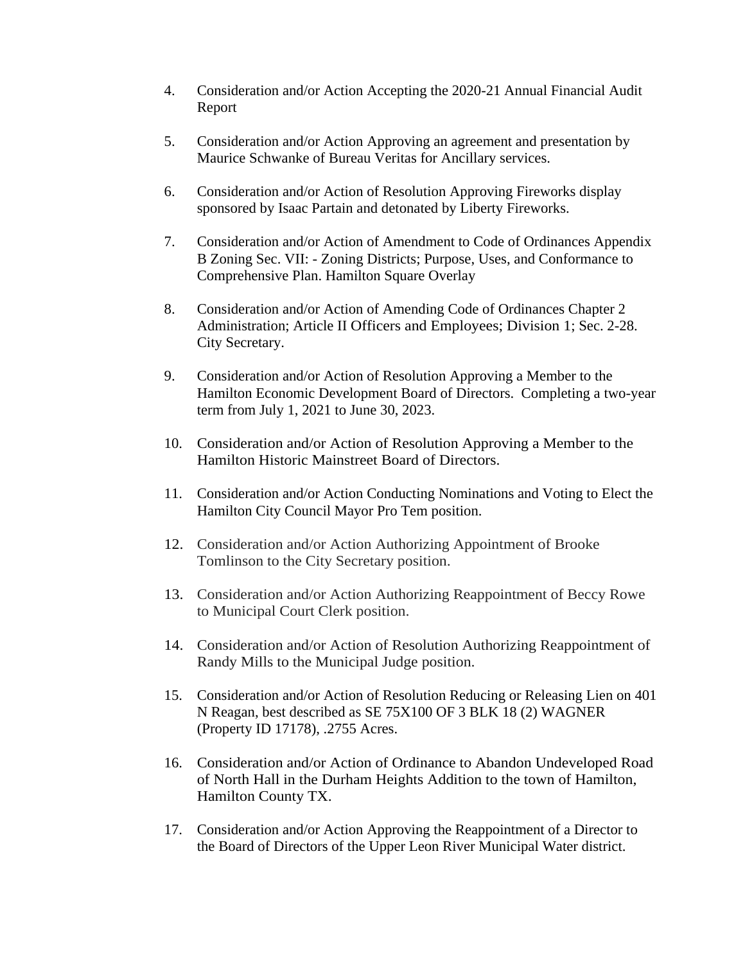- 4. Consideration and/or Action Accepting the 2020-21 Annual Financial Audit Report
- 5. Consideration and/or Action Approving an agreement and presentation by Maurice Schwanke of Bureau Veritas for Ancillary services.
- 6. Consideration and/or Action of Resolution Approving Fireworks display sponsored by Isaac Partain and detonated by Liberty Fireworks.
- 7. Consideration and/or Action of Amendment to Code of Ordinances Appendix B Zoning Sec. VII: - Zoning Districts; Purpose, Uses, and Conformance to Comprehensive Plan. Hamilton Square Overlay
- 8. Consideration and/or Action of Amending Code of Ordinances Chapter 2 Administration; Article II Officers and Employees; Division 1; Sec. 2-28. City Secretary.
- 9. Consideration and/or Action of Resolution Approving a Member to the Hamilton Economic Development Board of Directors. Completing a two-year term from July 1, 2021 to June 30, 2023.
- 10. Consideration and/or Action of Resolution Approving a Member to the Hamilton Historic Mainstreet Board of Directors.
- 11. Consideration and/or Action Conducting Nominations and Voting to Elect the Hamilton City Council Mayor Pro Tem position.
- 12. Consideration and/or Action Authorizing Appointment of Brooke Tomlinson to the City Secretary position.
- 13. Consideration and/or Action Authorizing Reappointment of Beccy Rowe to Municipal Court Clerk position.
- 14. Consideration and/or Action of Resolution Authorizing Reappointment of Randy Mills to the Municipal Judge position.
- 15. Consideration and/or Action of Resolution Reducing or Releasing Lien on 401 N Reagan, best described as SE 75X100 OF 3 BLK 18 (2) WAGNER (Property ID 17178), .2755 Acres.
- 16. Consideration and/or Action of Ordinance to Abandon Undeveloped Road of North Hall in the Durham Heights Addition to the town of Hamilton, Hamilton County TX.
- 17. Consideration and/or Action Approving the Reappointment of a Director to the Board of Directors of the Upper Leon River Municipal Water district.